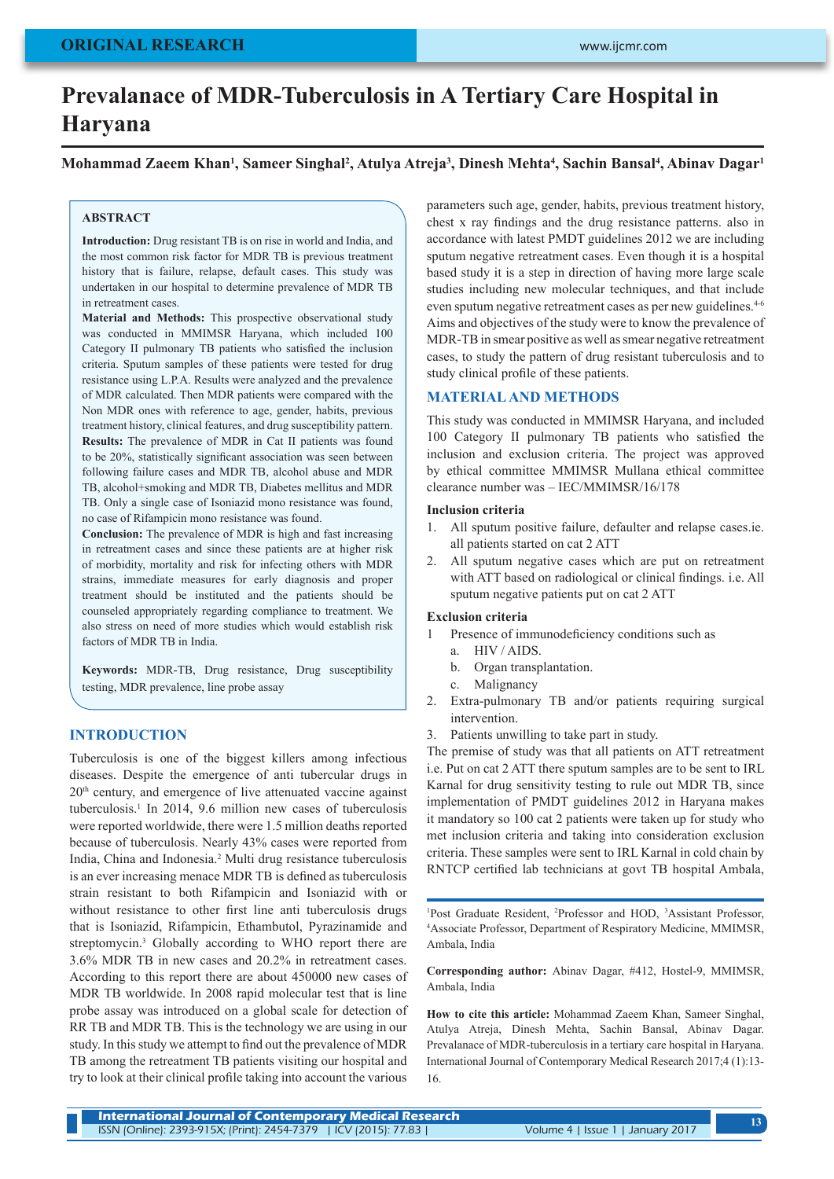# **Prevalanace of MDR-Tuberculosis in A Tertiary Care Hospital in Haryana**

**Mohammad Zaeem Khan1 , Sameer Singhal2 , Atulya Atreja3 , Dinesh Mehta4 , Sachin Bansal4 , Abinav Dagar1**

#### **ABSTRACT**

**Introduction:** Drug resistant TB is on rise in world and India, and the most common risk factor for MDR TB is previous treatment history that is failure, relapse, default cases. This study was undertaken in our hospital to determine prevalence of MDR TB in retreatment cases.

**Material and Methods:** This prospective observational study was conducted in MMIMSR Haryana, which included 100 Category II pulmonary TB patients who satisfied the inclusion criteria. Sputum samples of these patients were tested for drug resistance using L.P.A. Results were analyzed and the prevalence of MDR calculated. Then MDR patients were compared with the Non MDR ones with reference to age, gender, habits, previous treatment history, clinical features, and drug susceptibility pattern. **Results:** The prevalence of MDR in Cat II patients was found to be 20%, statistically significant association was seen between following failure cases and MDR TB, alcohol abuse and MDR TB, alcohol+smoking and MDR TB, Diabetes mellitus and MDR TB. Only a single case of Isoniazid mono resistance was found, no case of Rifampicin mono resistance was found.

**Conclusion:** The prevalence of MDR is high and fast increasing in retreatment cases and since these patients are at higher risk of morbidity, mortality and risk for infecting others with MDR strains, immediate measures for early diagnosis and proper treatment should be instituted and the patients should be counseled appropriately regarding compliance to treatment. We also stress on need of more studies which would establish risk factors of MDR TB in India.

**Keywords:** MDR-TB, Drug resistance, Drug susceptibility testing, MDR prevalence, line probe assay

# **INTRODUCTION**

Tuberculosis is one of the biggest killers among infectious diseases. Despite the emergence of anti tubercular drugs in 20<sup>th</sup> century, and emergence of live attenuated vaccine against tuberculosis.1 In 2014, 9.6 million new cases of tuberculosis were reported worldwide, there were 1.5 million deaths reported because of tuberculosis. Nearly 43% cases were reported from India, China and Indonesia.2 Multi drug resistance tuberculosis is an ever increasing menace MDR TB is defined as tuberculosis strain resistant to both Rifampicin and Isoniazid with or without resistance to other first line anti tuberculosis drugs that is Isoniazid, Rifampicin, Ethambutol, Pyrazinamide and streptomycin.3 Globally according to WHO report there are 3.6% MDR TB in new cases and 20.2% in retreatment cases. According to this report there are about 450000 new cases of MDR TB worldwide. In 2008 rapid molecular test that is line probe assay was introduced on a global scale for detection of RR TB and MDR TB. This is the technology we are using in our study. In this study we attempt to find out the prevalence of MDR TB among the retreatment TB patients visiting our hospital and try to look at their clinical profile taking into account the various

parameters such age, gender, habits, previous treatment history, chest x ray findings and the drug resistance patterns. also in accordance with latest PMDT guidelines 2012 we are including sputum negative retreatment cases. Even though it is a hospital based study it is a step in direction of having more large scale studies including new molecular techniques, and that include even sputum negative retreatment cases as per new guidelines.4-6 Aims and objectives of the study were to know the prevalence of MDR-TB in smear positive as well as smear negative retreatment cases, to study the pattern of drug resistant tuberculosis and to study clinical profile of these patients.

# **MATERIAL AND METHODS**

This study was conducted in MMIMSR Haryana, and included 100 Category II pulmonary TB patients who satisfied the inclusion and exclusion criteria. The project was approved by ethical committee MMIMSR Mullana ethical committee clearance number was – IEC/MMIMSR/16/178

#### **Inclusion criteria**

- 1. All sputum positive failure, defaulter and relapse cases.ie. all patients started on cat 2 ATT
- 2. All sputum negative cases which are put on retreatment with ATT based on radiological or clinical findings. i.e. All sputum negative patients put on cat 2 ATT

#### **Exclusion criteria**

- 1 Presence of immunodeficiency conditions such as
	- a. HIV / AIDS.
	- b. Organ transplantation.
	- c. Malignancy
- 2. Extra-pulmonary TB and/or patients requiring surgical intervention.
- 3. Patients unwilling to take part in study.

The premise of study was that all patients on ATT retreatment i.e. Put on cat 2 ATT there sputum samples are to be sent to IRL Karnal for drug sensitivity testing to rule out MDR TB, since implementation of PMDT guidelines 2012 in Haryana makes it mandatory so 100 cat 2 patients were taken up for study who met inclusion criteria and taking into consideration exclusion criteria. These samples were sent to IRL Karnal in cold chain by RNTCP certified lab technicians at govt TB hospital Ambala,

Post Graduate Resident, <sup>2</sup>Professor and HOD, <sup>3</sup>Assistant Professor, <sup>4</sup>Associate Professor, Department of Respiratory Medicine, MMIMSR Associate Professor, Department of Respiratory Medicine, MMIMSR, Ambala, India

**Corresponding author:** Abinav Dagar, #412, Hostel-9, MMIMSR, Ambala, India

**How to cite this article:** Mohammad Zaeem Khan, Sameer Singhal, Atulya Atreja, Dinesh Mehta, Sachin Bansal, Abinav Dagar. Prevalanace of MDR-tuberculosis in a tertiary care hospital in Haryana. International Journal of Contemporary Medical Research 2017;4 (1):13- 16.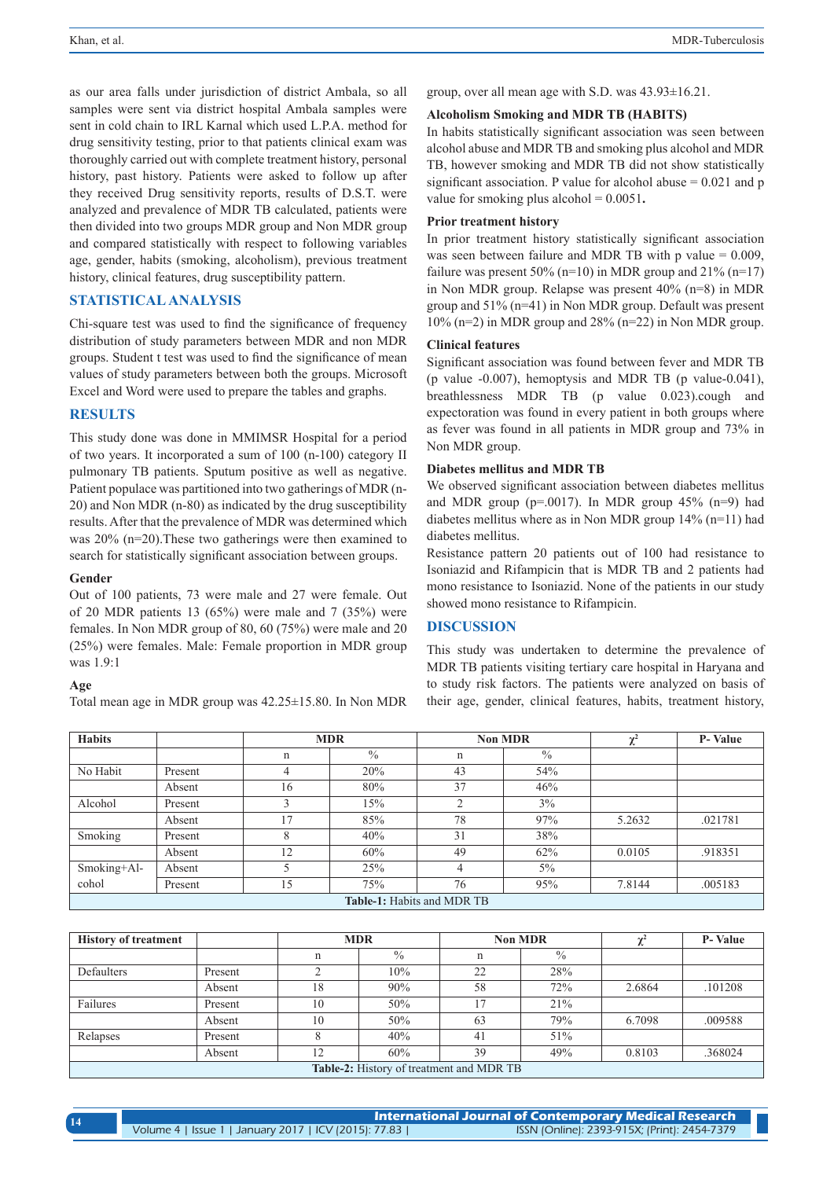as our area falls under jurisdiction of district Ambala, so all samples were sent via district hospital Ambala samples were sent in cold chain to IRL Karnal which used L.P.A. method for drug sensitivity testing, prior to that patients clinical exam was thoroughly carried out with complete treatment history, personal history, past history. Patients were asked to follow up after they received Drug sensitivity reports, results of D.S.T. were analyzed and prevalence of MDR TB calculated, patients were then divided into two groups MDR group and Non MDR group and compared statistically with respect to following variables age, gender, habits (smoking, alcoholism), previous treatment history, clinical features, drug susceptibility pattern.

# **STATISTICAL ANALYSIS**

Chi-square test was used to find the significance of frequency distribution of study parameters between MDR and non MDR groups. Student t test was used to find the significance of mean values of study parameters between both the groups. Microsoft Excel and Word were used to prepare the tables and graphs.

#### **RESULTS**

This study done was done in MMIMSR Hospital for a period of two years. It incorporated a sum of 100 (n-100) category II pulmonary TB patients. Sputum positive as well as negative. Patient populace was partitioned into two gatherings of MDR (n-20) and Non MDR (n-80) as indicated by the drug susceptibility results. After that the prevalence of MDR was determined which was 20% (n=20).These two gatherings were then examined to search for statistically significant association between groups.

#### **Gender**

Out of 100 patients, 73 were male and 27 were female. Out of 20 MDR patients 13 (65%) were male and 7 (35%) were females. In Non MDR group of 80, 60 (75%) were male and 20 (25%) were females. Male: Female proportion in MDR group was 1.9:1

#### **Age**

Total mean age in MDR group was 42.25±15.80. In Non MDR

group, over all mean age with S.D. was 43.93±16.21.

# **Alcoholism Smoking and MDR TB (HABITS)**

In habits statistically significant association was seen between alcohol abuse and MDR TB and smoking plus alcohol and MDR TB, however smoking and MDR TB did not show statistically significant association. P value for alcohol abuse  $= 0.021$  and p value for smoking plus alcohol = 0.0051**.**

#### **Prior treatment history**

In prior treatment history statistically significant association was seen between failure and MDR TB with p value  $= 0.009$ . failure was present  $50\%$  (n=10) in MDR group and  $21\%$  (n=17) in Non MDR group. Relapse was present 40% (n=8) in MDR group and 51% (n=41) in Non MDR group. Default was present 10% (n=2) in MDR group and 28% (n=22) in Non MDR group.

#### **Clinical features**

Significant association was found between fever and MDR TB (p value -0.007), hemoptysis and MDR TB (p value-0.041), breathlessness MDR TB (p value 0.023).cough and expectoration was found in every patient in both groups where as fever was found in all patients in MDR group and 73% in Non MDR group.

#### **Diabetes mellitus and MDR TB**

We observed significant association between diabetes mellitus and MDR group ( $p=0.0017$ ). In MDR group 45% ( $n=9$ ) had diabetes mellitus where as in Non MDR group 14% (n=11) had diabetes mellitus.

Resistance pattern 20 patients out of 100 had resistance to Isoniazid and Rifampicin that is MDR TB and 2 patients had mono resistance to Isoniazid. None of the patients in our study showed mono resistance to Rifampicin.

#### **DISCUSSION**

This study was undertaken to determine the prevalence of MDR TB patients visiting tertiary care hospital in Haryana and to study risk factors. The patients were analyzed on basis of their age, gender, clinical features, habits, treatment history,

| <b>Habits</b>              |         | <b>MDR</b> |               | <b>Non MDR</b> |               | $\mathbf{v}^2$<br>v | <b>P-Value</b> |  |
|----------------------------|---------|------------|---------------|----------------|---------------|---------------------|----------------|--|
|                            |         | n          | $\frac{0}{0}$ | n              | $\frac{0}{0}$ |                     |                |  |
| No Habit                   | Present | 4          | 20%           | 43             | 54%           |                     |                |  |
|                            | Absent  | 16         | 80%           | 37             | 46%           |                     |                |  |
| Alcohol                    | Present | 3          | 15%           | $\mathcal{L}$  | 3%            |                     |                |  |
|                            | Absent  | 17         | 85%           | 78             | 97%           | 5.2632              | .021781        |  |
| Smoking                    | Present | 8          | 40%           | 31             | 38%           |                     |                |  |
|                            | Absent  | 12         | 60%           | 49             | 62%           | 0.0105              | .918351        |  |
| Smoking+Al-                | Absent  |            | 25%           | 4              | $5\%$         |                     |                |  |
| cohol                      | Present | 15         | 75%           | 76             | 95%           | 7.8144              | .005183        |  |
| Table-1: Habits and MDR TB |         |            |               |                |               |                     |                |  |

| <b>History of treatment</b>              |         | <b>MDR</b>  |               | <b>Non MDR</b> |               |        | <b>P-Value</b> |  |
|------------------------------------------|---------|-------------|---------------|----------------|---------------|--------|----------------|--|
|                                          |         | $\mathbf n$ | $\frac{0}{0}$ | n              | $\frac{0}{0}$ |        |                |  |
| Defaulters                               | Present | $\sim$      | 10%           | 22             | 28%           |        |                |  |
|                                          | Absent  | 18          | 90%           | 58             | 72%           | 2.6864 | .101208        |  |
| Failures                                 | Present | 10          | 50%           | 17             | 21%           |        |                |  |
|                                          | Absent  | 10          | 50%           | 63             | 79%           | 6.7098 | .009588        |  |
| Relapses                                 | Present |             | 40%           | 41             | 51%           |        |                |  |
|                                          | Absent  | 12          | 60%           | 39             | 49%           | 0.8103 | .368024        |  |
| Table-2: History of treatment and MDR TB |         |             |               |                |               |        |                |  |

**International Journal of Contemporary Medical Research**  Volume 4 | Issue 1 | January 2017 | ICV (2015): 77.83 | ISSN (Online): 2393-915X; (Print): 2454-7379 **14**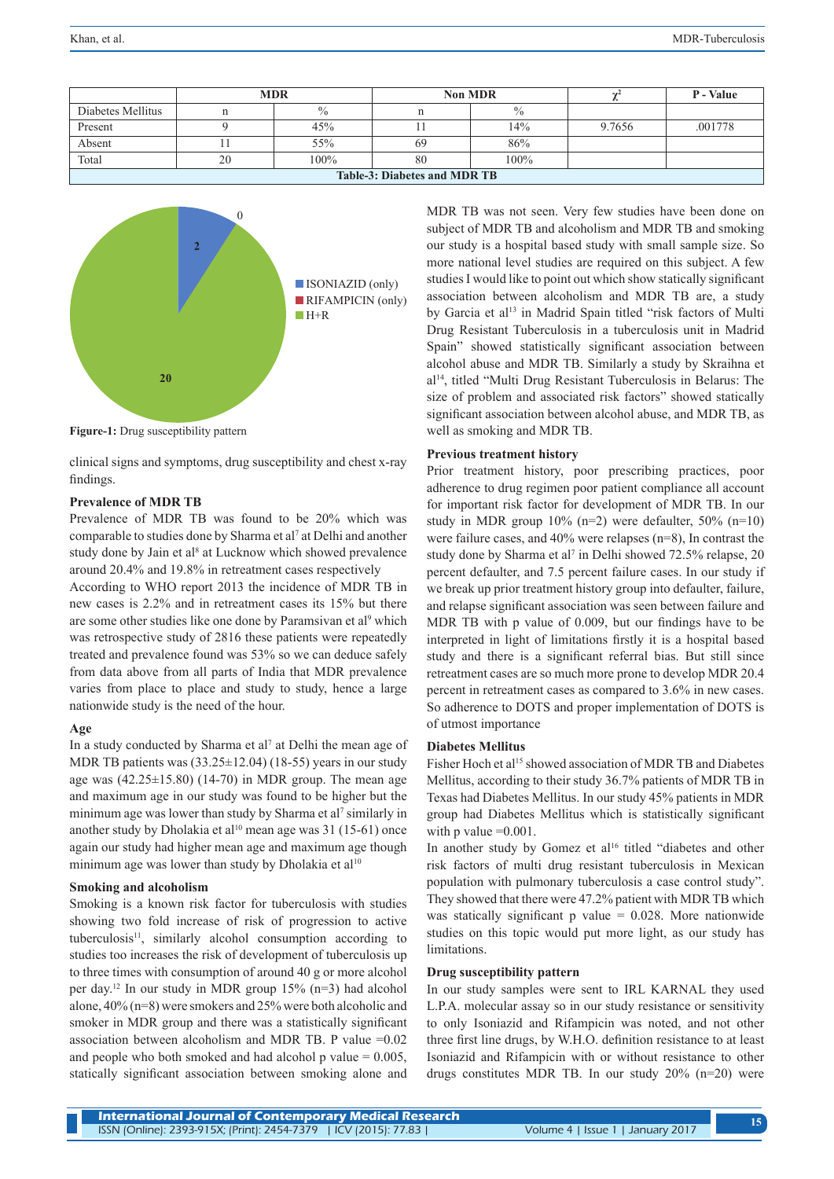|                                     | <b>MDR</b> |         |    | <b>Non MDR</b> |        | P - Value |  |
|-------------------------------------|------------|---------|----|----------------|--------|-----------|--|
| Diabetes Mellitus                   |            | $\%$    |    | $\%$           |        |           |  |
| Present                             |            | 45%     |    | 14%            | 9.7656 | .001778   |  |
| Absent                              |            | 55%     | 69 | 86%            |        |           |  |
| Total                               | 20         | $100\%$ | 80 | 100%           |        |           |  |
| <b>Table-3: Diabetes and MDR TB</b> |            |         |    |                |        |           |  |



**Figure-1:** Drug susceptibility pattern

clinical signs and symptoms, drug susceptibility and chest x-ray findings.

#### **Prevalence of MDR TB**

Prevalence of MDR TB was found to be 20% which was comparable to studies done by Sharma et al<sup>7</sup> at Delhi and another study done by Jain et al<sup>8</sup> at Lucknow which showed prevalence around 20.4% and 19.8% in retreatment cases respectively

According to WHO report 2013 the incidence of MDR TB in new cases is 2.2% and in retreatment cases its 15% but there are some other studies like one done by Paramsivan et al<sup>9</sup> which was retrospective study of 2816 these patients were repeatedly treated and prevalence found was 53% so we can deduce safely from data above from all parts of India that MDR prevalence varies from place to place and study to study, hence a large nationwide study is the need of the hour.

#### **Age**

In a study conducted by Sharma et al<sup>7</sup> at Delhi the mean age of MDR TB patients was (33.25±12.04) (18-55) years in our study age was  $(42.25 \pm 15.80)$   $(14-70)$  in MDR group. The mean age and maximum age in our study was found to be higher but the minimum age was lower than study by Sharma et al<sup>7</sup> similarly in another study by Dholakia et al<sup>10</sup> mean age was 31 (15-61) once again our study had higher mean age and maximum age though minimum age was lower than study by Dholakia et al<sup>10</sup>

#### **Smoking and alcoholism**

Smoking is a known risk factor for tuberculosis with studies showing two fold increase of risk of progression to active tuberculosis<sup>11</sup>, similarly alcohol consumption according to studies too increases the risk of development of tuberculosis up to three times with consumption of around 40 g or more alcohol per day.12 In our study in MDR group 15% (n=3) had alcohol alone, 40% (n=8) were smokers and 25% were both alcoholic and smoker in MDR group and there was a statistically significant association between alcoholism and MDR TB. P value =0.02 and people who both smoked and had alcohol p value  $= 0.005$ , statically significant association between smoking alone and

MDR TB was not seen. Very few studies have been done on subject of MDR TB and alcoholism and MDR TB and smoking our study is a hospital based study with small sample size. So more national level studies are required on this subject. A few studies I would like to point out which show statically significant association between alcoholism and MDR TB are, a study by Garcia et al<sup>13</sup> in Madrid Spain titled "risk factors of Multi Drug Resistant Tuberculosis in a tuberculosis unit in Madrid Spain" showed statistically significant association between alcohol abuse and MDR TB. Similarly a study by Skraihna et al14, titled "Multi Drug Resistant Tuberculosis in Belarus: The size of problem and associated risk factors" showed statically significant association between alcohol abuse, and MDR TB, as well as smoking and MDR TB.

#### **Previous treatment history**

Prior treatment history, poor prescribing practices, poor adherence to drug regimen poor patient compliance all account for important risk factor for development of MDR TB. In our study in MDR group  $10\%$  (n=2) were defaulter,  $50\%$  (n=10) were failure cases, and 40% were relapses (n=8), In contrast the study done by Sharma et al<sup>7</sup> in Delhi showed 72.5% relapse, 20 percent defaulter, and 7.5 percent failure cases. In our study if we break up prior treatment history group into defaulter, failure, and relapse significant association was seen between failure and MDR TB with p value of 0.009, but our findings have to be interpreted in light of limitations firstly it is a hospital based study and there is a significant referral bias. But still since retreatment cases are so much more prone to develop MDR 20.4 percent in retreatment cases as compared to 3.6% in new cases. So adherence to DOTS and proper implementation of DOTS is of utmost importance

#### **Diabetes Mellitus**

Fisher Hoch et al<sup>15</sup> showed association of MDR TB and Diabetes Mellitus, according to their study 36.7% patients of MDR TB in Texas had Diabetes Mellitus. In our study 45% patients in MDR group had Diabetes Mellitus which is statistically significant with  $p$  value  $=0.001$ .

In another study by Gomez et al<sup>16</sup> titled "diabetes and other risk factors of multi drug resistant tuberculosis in Mexican population with pulmonary tuberculosis a case control study". They showed that there were 47.2% patient with MDR TB which was statically significant  $p$  value = 0.028. More nationwide studies on this topic would put more light, as our study has limitations.

#### **Drug susceptibility pattern**

In our study samples were sent to IRL KARNAL they used L.P.A. molecular assay so in our study resistance or sensitivity to only Isoniazid and Rifampicin was noted, and not other three first line drugs, by W.H.O. definition resistance to at least Isoniazid and Rifampicin with or without resistance to other drugs constitutes MDR TB. In our study 20% (n=20) were